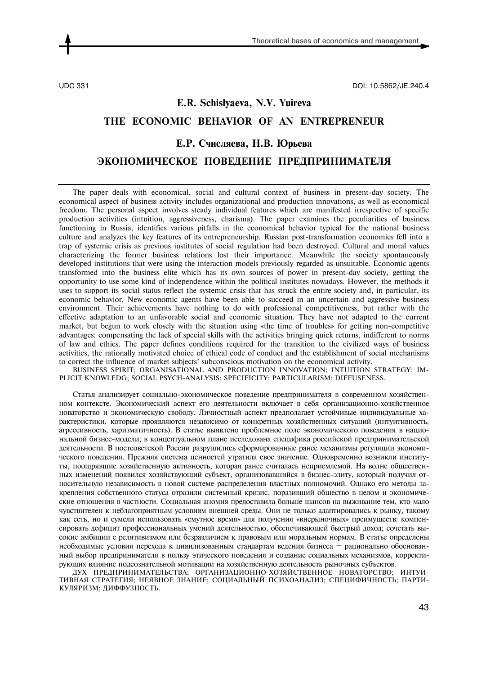UDC 331 DOI: 10.5862/JE.240.4

## **E.R. Schislyaeva, N.V. Yuireva THE ECONOMIC BEHAVIOR OF AN ENTREPRENEUR Е.Р. Счисляева, Н.В. Юрьева ЭКОНОМИЧЕСКОЕ ПОВЕДЕНИЕ ПРЕДПРИНИМАТЕЛЯ**

The paper deals with economical, social and cultural context of business in present-day society. The economical aspect of business activity includes organizational and production innovations, as well as economical freedom. The personal aspect involves steady individual features which are manifested irrespective of specific production activities (intuition, aggressiveness, charisma). The paper examines the peculiarities of business functioning in Russia, identifies various pitfalls in the economical behavior typical for the national business culture and analyzes the key features of its entrepreneurship. Russian post-transformation economics fell into a trap of systemic crisis as previous institutes of social regulation had been destroyed. Cultural and moral values characterizing the former business relations lost their importance. Meanwhile the society spontaneously developed institutions that were using the interaction models previously regarded as unsuitable. Economic agents transformed into the business elite which has its own sources of power in present-day society, getting the opportunity to use some kind of independence within the political institutes nowadays. However, the methods it uses to support its social status reflect the systemic crisis that has struck the entire society and, in particular, its economic behavior. New economic agents have been able to succeed in an uncertain and aggressive business environment. Their achievements have nothing to do with professional competitiveness, but rather with the effective adaptation to an unfavorable social and economic situation. They have not adapted to the current market, but begun to work closely with the situation using «the time of troubles» for getting non-competitive advantages: compensating the lack of special skills with the activities bringing quick returns, indifferent to norms of law and ethics. The paper defines conditions required for the transition to the civilized ways of business activities, the rationally motivated choice of ethical code of conduct and the establishment of social mechanisms to correct the influence of market subjects' subconscious motivation on the economical activity.

BUSINESS SPIRIT; ORGANISATIONAL AND PRODUCTION INNOVATION; INTUITION STRATEGY; IM-PLICIT KNOWLEDG; SOCIAL PSYCH-ANALYSIS; SPECIFICITY; PARTICULARISM; DIFFUSENESS.

Статья анализирует социально-экономическое поведение предпринимателя в современном хозяйственном контексте. Экономический аспект его деятельности включает в себя организационно-хозяйственное новаторство и экономическую свободу. Личностный аспект предполагает устойчивые индивидуальные характеристики, которые проявляются независимо от конкретных хозяйственных ситуаций (интуитивность, агрессивность, харизматичность). В статье выявлено проблемное поле экономического поведения в национальной бизнес-модели; в концептуальном плане исследована специфика российской предпринимательской деятельности. В постсоветской России разрушились сформированные ранее механизмы регуляции экономического поведения. Прежняя система ценностей утратила свое значение. Одновременно возникли институты, поощрявшие хозяйственную активность, которая ранее считалась неприемлемой. На волне общественных изменений появился хозяйствующий субъект, организовавшийся в бизнес-элиту, который получил относительную независимость в новой системе распределения властных полномочий. Однако его методы закрепления собственного статуса отразили системный кризис, поразивший общество в целом и экономические отношения в частности. Социальная аномия предоставила больше шансов на выживание тем, кто мало чувствителен к неблагоприятным условиям внешней среды. Они не только адаптировались к рынку, такому как есть, но и сумели использовать «смутное время» для получения «внерыночных» преимуществ: компенсировать дефицит профессиональных умений деятельностью, обеспечивающей быстрый доход; сочетать высокие амбиции с релятивизмом или безразличием к правовым или моральным нормам. В статье определены необходимые условия перехода к цивилизованным стандартам ведения бизнеса — рационально обоснованный выбор предпринимателя в пользу этического поведения и создание социальных механизмов, корректирующих влияние подсознательной мотивации на хозяйственную деятельность рыночных субъектов.

ДУХ ПРЕДПРИНИМАТЕЛЬСТВА; ОРГАНИЗАЦИОННО-ХОЗЯЙСТВЕННОЕ НОВАТОРСТВО; ИНТУИ-ТИВНАЯ СТРАТЕГИЯ; НЕЯВНОЕ ЗНАНИЕ; СОЦИАЛЬНЫЙ ПСИХОАНАЛИЗ; СПЕЦИФИЧНОСТЬ; ПАРТИ-КУЛЯРИЗМ; ДИФФУЗНОСТЬ.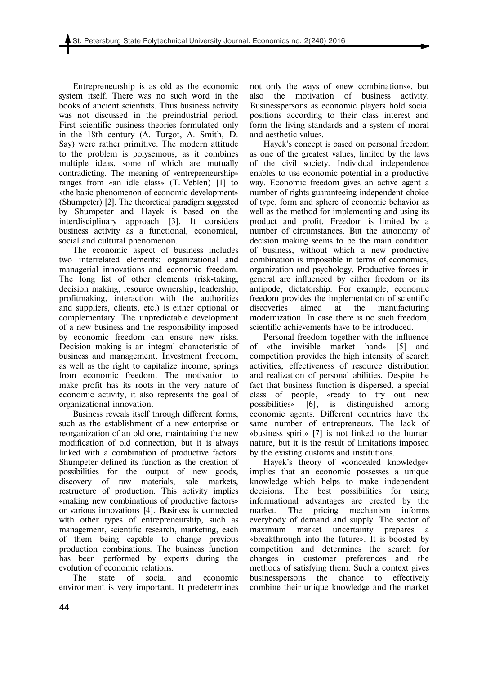Entrepreneurship is as old as the economic system itself. There was no such word in the books of ancient scientists. Thus business activity was not discussed in the preindustrial period. First scientific business theories formulated only in the 18th century (A. Turgot, A. Smith, D. Say) were rather primitive. The modern attitude to the problem is polysemous, as it combines multiple ideas, some of which are mutually contradicting. The meaning of «entrepreneurship» ranges from «an idle class» (T. Veblen) [1] to «the basic phenomenon of economic development» (Shumpeter) [2]. The theoretical paradigm suggested by Shumpeter and Hayek is based on the interdisciplinary approach [3]. It considers business activity as a functional, economical, social and cultural phenomenon.

The economic aspect of business includes two interrelated elements: organizational and managerial innovations and economic freedom. The long list of other elements (risk-taking, decision making, resource ownership, leadership, profitmaking, interaction with the authorities and suppliers, clients, etc.) is either optional or complementary. The unpredictable development of a new business and the responsibility imposed by economic freedom can ensure new risks. Decision making is an integral characteristic of business and management. Investment freedom, as well as the right to capitalize income, springs from economic freedom. The motivation to make profit has its roots in the very nature of economic activity, it also represents the goal of organizational innovation.

Business reveals itself through different forms, such as the establishment of a new enterprise or reorganization of an old one, maintaining the new modification of old connection, but it is always linked with a combination of productive factors. Shumpeter defined its function as the creation of possibilities for the output of new goods, discovery of raw materials, sale markets, restructure of production. This activity implies «making new combinations of productive factors» or various innovations [4]. Business is connected with other types of entrepreneurship, such as management, scientific research, marketing, each of them being capable to change previous production combinations. The business function has been performed by experts during the evolution of economic relations.

The state of social and economic environment is very important. It predetermines not only the ways of «new combinations», but also the motivation of business activity. Businesspersons as economic players hold social positions according to their class interest and form the living standards and a system of moral and aesthetic values.

Hayek's concept is based on personal freedom as one of the greatest values, limited by the laws of the civil society. Individual independence enables to use economic potential in a productive way. Economic freedom gives an active agent a number of rights guaranteeing independent choice of type, form and sphere of economic behavior as well as the method for implementing and using its product and profit. Freedom is limited by a number of circumstances. But the autonomy of decision making seems to be the main condition of business, without which a new productive combination is impossible in terms of economics, organization and psychology. Productive forces in general are influenced by either freedom or its antipode, dictatorship. For example, economic freedom provides the implementation of scientific discoveries aimed at the manufacturing modernization. In case there is no such freedom, scientific achievements have to be introduced.

Personal freedom together with the influence of «the invisible market hand» [5] and competition provides the high intensity of search activities, effectiveness of resource distribution and realization of personal abilities. Despite the fact that business function is dispersed, a special class of people, «ready to try out new possibilities» [6], is distinguished among economic agents. Different countries have the same number of entrepreneurs. The lack of «business spirit» [7] is not linked to the human nature, but it is the result of limitations imposed by the existing customs and institutions.

Hayek's theory of «concealed knowledge» implies that an economic possesses a unique knowledge which helps to make independent decisions. The best possibilities for using informational advantages are created by the market. The pricing mechanism informs everybody of demand and supply. The sector of maximum market uncertainty prepares a «breakthrough into the future». It is boosted by competition and determines the search for changes in customer preferences and the methods of satisfying them. Such a context gives businesspersons the chance to effectively combine their unique knowledge and the market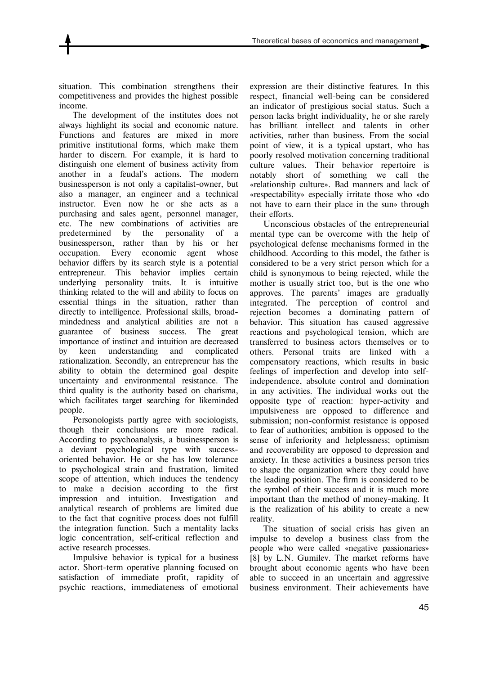situation. This combination strengthens their competitiveness and provides the highest possible income.

The development of the institutes does not always highlight its social and economic nature. Functions and features are mixed in more primitive institutional forms, which make them harder to discern. For example, it is hard to distinguish one element of business activity from another in a feudal's actions. The modern businessperson is not only a capitalist-owner, but also a manager, an engineer and a technical instructor. Even now he or she acts as a purchasing and sales agent, personnel manager, etc. The new combinations of activities are predetermined by the personality of a businessperson, rather than by his or her occupation. Every economic agent whose behavior differs by its search style is a potential entrepreneur. This behavior implies certain underlying personality traits. It is intuitive thinking related to the will and ability to focus on essential things in the situation, rather than directly to intelligence. Professional skills, broadmindedness and analytical abilities are not a guarantee of business success. The great importance of instinct and intuition are decreased by keen understanding and complicated rationalization. Secondly, an entrepreneur has the ability to obtain the determined goal despite uncertainty and environmental resistance. The third quality is the authority based on charisma, which facilitates target searching for likeminded people.

Personologists partly agree with sociologists, though their conclusions are more radical. According to psychoanalysis, a businessperson is a deviant psychological type with successoriented behavior. He or she has low tolerance to psychological strain and frustration, limited scope of attention, which induces the tendency to make a decision according to the first impression and intuition. Investigation and analytical research of problems are limited due to the fact that cognitive process does not fulfill the integration function. Such a mentality lacks logic concentration, self-critical reflection and active research processes.

Impulsive behavior is typical for a business actor. Short-term operative planning focused on satisfaction of immediate profit, rapidity of psychic reactions, immediateness of emotional

expression are their distinctive features. In this respect, financial well-being can be considered an indicator of prestigious social status. Such a person lacks bright individuality, he or she rarely has brilliant intellect and talents in other activities, rather than business. From the social point of view, it is a typical upstart, who has poorly resolved motivation concerning traditional culture values. Their behavior repertoire is notably short of something we call the «relationship culture». Bad manners and lack of «respectability» especially irritate those who «do not have to earn their place in the sun» through their efforts.

Unconscious obstacles of the entrepreneurial mental type can be overcome with the help of psychological defense mechanisms formed in the childhood. According to this model, the father is considered to be a very strict person which for a child is synonymous to being rejected, while the mother is usually strict too, but is the one who approves. The parents' images are gradually integrated. The perception of control and rejection becomes a dominating pattern of behavior. This situation has caused aggressive reactions and psychological tension, which are transferred to business actors themselves or to others. Personal traits are linked with a compensatory reactions, which results in basic feelings of imperfection and develop into selfindependence, absolute control and domination in any activities. The individual works out the opposite type of reaction: hyper-activity and impulsiveness are opposed to difference and submission; non-conformist resistance is opposed to fear of authorities; ambition is opposed to the sense of inferiority and helplessness; optimism and recoverability are opposed to depression and anxiety. In these activities a business person tries to shape the organization where they could have the leading position. The firm is considered to be the symbol of their success and it is much more important than the method of money-making. It is the realization of his ability to create a new reality.

The situation of social crisis has given an impulse to develop a business class from the people who were called «negative passionaries» [8] by L.N. Gumilev. The market reforms have brought about economic agents who have been able to succeed in an uncertain and aggressive business environment. Their achievements have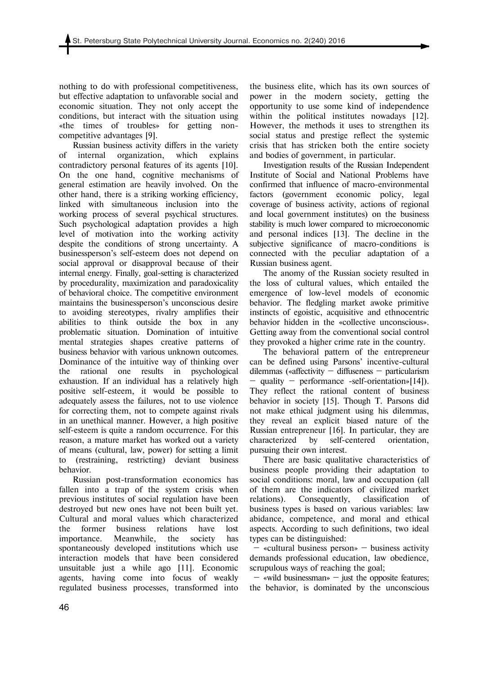nothing to do with professional competitiveness, but effective adaptation to unfavorable social and economic situation. They not only accept the conditions, but interact with the situation using «the times of troubles» for getting noncompetitive advantages [9].

Russian business activity differs in the variety of internal organization, which explains contradictory personal features of its agents [10]. On the one hand, cognitive mechanisms of general estimation are heavily involved. On the other hand, there is a striking working efficiency, linked with simultaneous inclusion into the working process of several psychical structures. Such psychological adaptation provides a high level of motivation into the working activity despite the conditions of strong uncertainty. A businessperson's self-esteem does not depend on social approval or disapproval because of their internal energy. Finally, goal-setting is characterized by procedurality, maximization and paradoxicality of behavioral choice. The competitive environment maintains the businessperson's unconscious desire to avoiding stereotypes, rivalry amplifies their abilities to think outside the box in any problematic situation. Domination of intuitive mental strategies shapes creative patterns of business behavior with various unknown outcomes. Dominance of the intuitive way of thinking over the rational one results in psychological exhaustion. If an individual has a relatively high positive self-esteem, it would be possible to adequately assess the failures, not to use violence for correcting them, not to compete against rivals in an unethical manner. However, a high positive self-esteem is quite a random occurrence. For this reason, a mature market has worked out a variety of means (cultural, law, power) for setting a limit to (restraining, restricting) deviant business behavior.

Russian post-transformation economics has fallen into a trap of the system crisis when previous institutes of social regulation have been destroyed but new ones have not been built yet. Cultural and moral values which characterized the former business relations have lost importance. Meanwhile, the society has spontaneously developed institutions which use interaction models that have been considered unsuitable just a while ago [11]. Economic agents, having come into focus of weakly regulated business processes, transformed into the business elite, which has its own sources of power in the modern society, getting the opportunity to use some kind of independence within the political institutes nowadays [12]. However, the methods it uses to strengthen its social status and prestige reflect the systemic crisis that has stricken both the entire society and bodies of government, in particular.

Investigation results of the Russian Independent Institute of Social and National Problems have confirmed that influence of macro-environmental factors (government economic policy, legal coverage of business activity, actions of regional and local government institutes) on the business stability is much lower compared to microeconomic and personal indices [13]. The decline in the subjective significance of macro-conditions is connected with the peculiar adaptation of a Russian business agent.

The anomy of the Russian society resulted in the loss of cultural values, which entailed the emergence of low-level models of economic behavior. The fledgling market awoke primitive instincts of egoistic, acquisitive and ethnocentric behavior hidden in the «collective unconscious». Getting away from the conventional social control they provoked a higher crime rate in the country.

The behavioral pattern of the entrepreneur can be defined using Parsons' incentive-cultural dilemmas («affectivity — diffuseness — particularism — quality — performance -self-orientation»[14]). They reflect the rational content of business behavior in society [15]. Though T. Parsons did not make ethical judgment using his dilemmas, they reveal an explicit biased nature of the Russian entrepreneur [16]. In particular, they are characterized by self-centered orientation, pursuing their own interest.

There are basic qualitative characteristics of business people providing their adaptation to social conditions: moral, law and occupation (all of them are the indicators of civilized market relations). Consequently, classification of business types is based on various variables: law abidance, competence, and moral and ethical aspects. According to such definitions, two ideal types can be distinguished:

 — «cultural business person» — business activity demands professional education, law obedience, scrupulous ways of reaching the goal;

 $-$  «wild businessman»  $-$  just the opposite features; the behavior, is dominated by the unconscious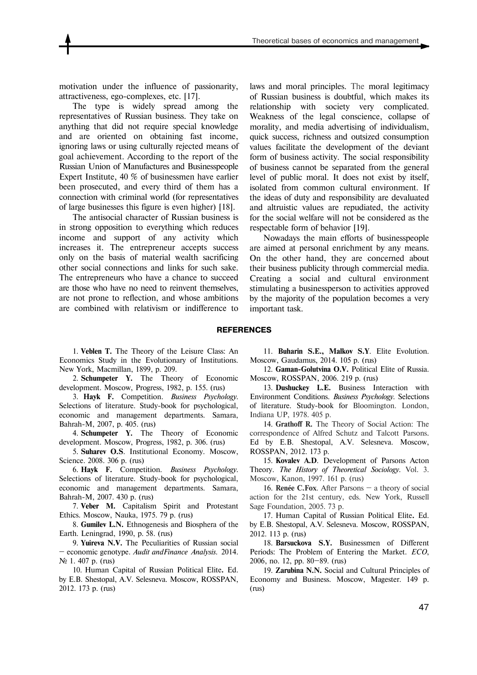motivation under the influence of passionarity, attractiveness, ego-complexes, etc. [17].

The type is widely spread among the representatives of Russian business. They take on anything that did not require special knowledge and are oriented on obtaining fast income, ignoring laws or using culturally rejected means of goal achievement. According to the report of the Russian Union of Manufactures and Businesspeople Expert Institute, 40 % of businessmen have earlier been prosecuted, and every third of them has a connection with criminal world (for representatives of large businesses this figure is even higher) [18].

The antisocial character of Russian business is in strong opposition to everything which reduces income and support of any activity which increases it. The entrepreneur accepts success only on the basis of material wealth sacrificing other social connections and links for such sake. The entrepreneurs who have a chance to succeed are those who have no need to reinvent themselves, are not prone to reflection, and whose ambitions are combined with relativism or indifference to laws and moral principles. The moral legitimacy of Russian business is doubtful, which makes its relationship with society very complicated. Weakness of the legal conscience, collapse of morality, and media advertising of individualism, quick success, richness and outsized consumption values facilitate the development of the deviant form of business activity. The social responsibility of business cannot be separated from the general level of public moral. It does not exist by itself, isolated from common cultural environment. If the ideas of duty and responsibility are devaluated and altruistic values are repudiated, the activity for the social welfare will not be considered as the respectable form of behavior [19].

Nowadays the main efforts of businesspeople are aimed at personal enrichment by any means. On the other hand, they are concerned about their business publicity through commercial media. Creating a social and cultural environment stimulating a businessperson to activities approved by the majority of the population becomes a very important task.

## **REFERENCES**

1. **Veblen T.** The Theory of the Leisure Class: An Economics Study in the Evolutionary of Institutions. New York, Macmillan, 1899, p. 209.

2. **Schumpeter Y.** The Theory of Economic development. Moscow, Progress, 1982, p. 155. (rus)

3. **Hayk F.** Competition. *Business Psychology*. Selections of literature. Study-book for psychological, economic and management departments. Samara, Bahrah-M, 2007, p. 405. (rus)

4. **Schumpeter Y.** The Theory of Economic development. Moscow, Progress, 1982, p. 306. (rus)

5. **Suharev O.S**. Institutional Economy. Мoscow, Science. 2008. 306 p. (rus)

6. **Hayk F.** Competition. *Business Psychology.* Selections of literature. Study-book for psychological, economic and management departments. Samara, Bahrah-M, 2007. 430 p. (rus)

7. **Veber M.** Capitalism Spirit and Protestant Ethics. Мoscow, Nauka, 1975. 79 p. (rus)

8. **Gumilev L.N.** Ethnogenesis and Biosphera of the Earth. Leningrad, 1990, p. 58. (rus)

9. **Yuireva N.V.** The Peculiarities of Russian social — economic genotype. *Audit andFinance Analysis*. 2014. № 1. 407 p. (rus)

10. Human Capital of Russian Political Elite**.** Ed. by Е.B. Shestopal, А.V. Selesneva. Мoscow, RОSSPAN, 2012. 173 p. (rus)

11. **Buharin S.E., Malkov S.Y**. Elite Evolution. Moscow, Gaudamus, 2014. 105 p. (rus)

12. **Gaman-Golutvina O.V.** Political Elite of Russia. Moscow, ROSSPAN, 2006. 219 p. (rus)

13. **Dushuckey L.Е.** Business Interaction with Environment Conditions. *Business Psychology*. Selections of literature. Study-book for Bloomington. London, Indiana UP, 1978. 405 p.

14. **Grathoff R.** The Theory of Social Action: The correspondence of Alfred Schutz and Talcott Parsons. Ed by Е.B. Shestopal, А.V. Selesneva. Мoscow, RОSSPAN, 2012. 173 p.

15. **Kovalev A.D**. Development of Parsons Acton Theory. *The History of Theoretical Sociology*. Vol. 3. Мoscow, Kanon, 1997. 161 p. (rus)

16. **Renée C.Fox**. After Parsons — a theory of social action for the 21st century, eds. New York, Russell Sage Foundation, 2005. 73 p.

17. Human Capital of Russian Political Elite**.** Ed. by Е.B. Shestopal, А.V. Selesneva. Мoscow, RОSSPAN, 2012. 113 p. (rus)

18. **Barsuckova S.Y.** Businessmen of Different Periods: The Problem of Entering the Market. *ECO*, 2006, no. 12, pp. 80—89. (rus)

19. **Zarubina N.N.** Social and Cultural Principles of Economy and Business. Moscow, Magester. 149 p. (rus)